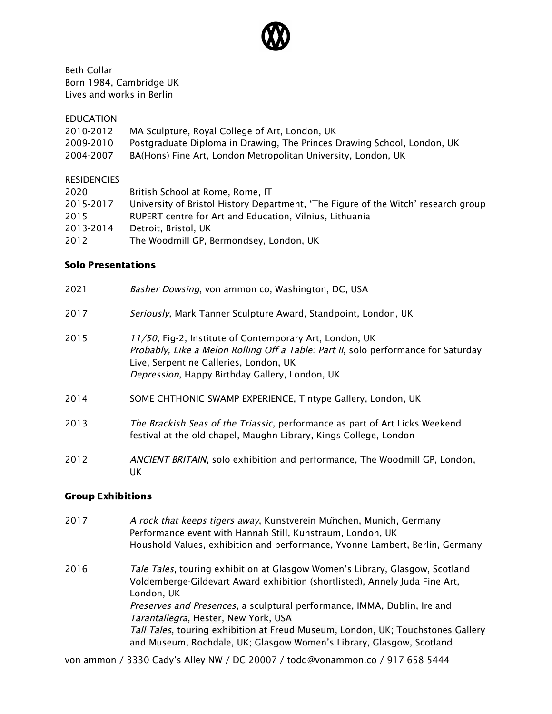

Beth Collar Born 1984, Cambridge UK Lives and works in Berlin

EDUCATION

| 2010-2012 | MA Sculpture, Royal College of Art, London, UK                          |
|-----------|-------------------------------------------------------------------------|
| 2009-2010 | Postgraduate Diploma in Drawing, The Princes Drawing School, London, UK |
| 2004-2007 | BA(Hons) Fine Art, London Metropolitan University, London, UK           |

#### **RESIDENCIES**

| 2020      | British School at Rome, Rome, IT                                                   |
|-----------|------------------------------------------------------------------------------------|
| 2015-2017 | University of Bristol History Department, 'The Figure of the Witch' research group |
| 2015      | RUPERT centre for Art and Education, Vilnius, Lithuania                            |
| 2013-2014 | Detroit. Bristol. UK                                                               |
| 2012      | The Woodmill GP, Bermondsey, London, UK                                            |
|           |                                                                                    |

### Solo Presentations

| 2021 | Basher Dowsing, von ammon co, Washington, DC, USA                                                                                                                                                                                         |
|------|-------------------------------------------------------------------------------------------------------------------------------------------------------------------------------------------------------------------------------------------|
| 2017 | Seriously, Mark Tanner Sculpture Award, Standpoint, London, UK                                                                                                                                                                            |
| 2015 | 11/50, Fig-2, Institute of Contemporary Art, London, UK<br>Probably, Like a Melon Rolling Off a Table: Part II, solo performance for Saturday<br>Live, Serpentine Galleries, London, UK<br>Depression, Happy Birthday Gallery, London, UK |
| 2014 | SOME CHTHONIC SWAMP EXPERIENCE, Tintype Gallery, London, UK                                                                                                                                                                               |
| 2013 | The Brackish Seas of the Triassic, performance as part of Art Licks Weekend<br>festival at the old chapel, Maughn Library, Kings College, London                                                                                          |
| 2012 | ANCIENT BRITAIN, solo exhibition and performance, The Woodmill GP, London,<br>UK.                                                                                                                                                         |

## Group Exhibitions

| 2017 | A rock that keeps tigers away, Kunstverein Munchen, Munich, Germany<br>Performance event with Hannah Still, Kunstraum, London, UK<br>Houshold Values, exhibition and performance, Yvonne Lambert, Berlin, Germany                                     |
|------|-------------------------------------------------------------------------------------------------------------------------------------------------------------------------------------------------------------------------------------------------------|
| 2016 | Tale Tales, touring exhibition at Glasgow Women's Library, Glasgow, Scotland<br>Voldemberge-Gildevart Award exhibition (shortlisted), Annely Juda Fine Art,<br>London, UK<br>Preserves and Presences, a sculptural performance, IMMA, Dublin, Ireland |
|      | Tarantallegra, Hester, New York, USA                                                                                                                                                                                                                  |
|      | Tall Tales, touring exhibition at Freud Museum, London, UK; Touchstones Gallery<br>and Museum, Rochdale, UK; Glasgow Women's Library, Glasgow, Scotland                                                                                               |

von ammon / 3330 Cady's Alley NW / DC 20007 / todd@vonammon.co / 917 658 5444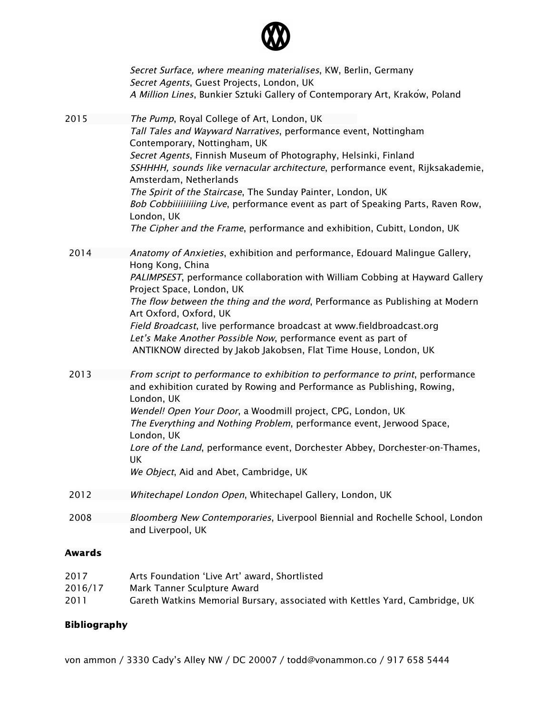

|               | Secret Surface, where meaning materialises, KW, Berlin, Germany<br>Secret Agents, Guest Projects, London, UK<br>A Million Lines, Bunkier Sztuki Gallery of Contemporary Art, Krakow, Poland                                                                                                                                                                                                                                                                                                                                                                                 |
|---------------|-----------------------------------------------------------------------------------------------------------------------------------------------------------------------------------------------------------------------------------------------------------------------------------------------------------------------------------------------------------------------------------------------------------------------------------------------------------------------------------------------------------------------------------------------------------------------------|
| 2015          | The Pump, Royal College of Art, London, UK<br>Tall Tales and Wayward Narratives, performance event, Nottingham<br>Contemporary, Nottingham, UK<br>Secret Agents, Finnish Museum of Photography, Helsinki, Finland<br>SSHHHH, sounds like vernacular architecture, performance event, Rijksakademie,<br>Amsterdam, Netherlands<br>The Spirit of the Staircase, The Sunday Painter, London, UK<br>Bob Cobbiiiiiiiiing Live, performance event as part of Speaking Parts, Raven Row,<br>London, UK<br>The Cipher and the Frame, performance and exhibition, Cubitt, London, UK |
| 2014          | Anatomy of Anxieties, exhibition and performance, Edouard Malingue Gallery,<br>Hong Kong, China<br>PALIMPSEST, performance collaboration with William Cobbing at Hayward Gallery<br>Project Space, London, UK<br>The flow between the thing and the word, Performance as Publishing at Modern<br>Art Oxford, Oxford, UK<br>Field Broadcast, live performance broadcast at www.fieldbroadcast.org<br>Let's Make Another Possible Now, performance event as part of<br>ANTIKNOW directed by Jakob Jakobsen, Flat Time House, London, UK                                       |
| 2013          | From script to performance to exhibition to performance to print, performance<br>and exhibition curated by Rowing and Performance as Publishing, Rowing,<br>London, UK<br>Wendel! Open Your Door, a Woodmill project, CPG, London, UK<br>The Everything and Nothing Problem, performance event, Jerwood Space,<br>London, UK<br>Lore of the Land, performance event, Dorchester Abbey, Dorchester-on-Thames,<br>UK<br>We Object, Aid and Abet, Cambridge, UK                                                                                                                |
| 2012          | Whitechapel London Open, Whitechapel Gallery, London, UK                                                                                                                                                                                                                                                                                                                                                                                                                                                                                                                    |
| 2008          | Bloomberg New Contemporaries, Liverpool Biennial and Rochelle School, London<br>and Liverpool, UK                                                                                                                                                                                                                                                                                                                                                                                                                                                                           |
| <b>Awards</b> |                                                                                                                                                                                                                                                                                                                                                                                                                                                                                                                                                                             |
| 2017          | Arts Foundation 'Live Art' award, Shortlisted                                                                                                                                                                                                                                                                                                                                                                                                                                                                                                                               |

2016/17 Mark Tanner Sculpture Award 2011 Gareth Watkins Memorial Bursary, associated with Kettles Yard, Cambridge, UK

# Bibliography